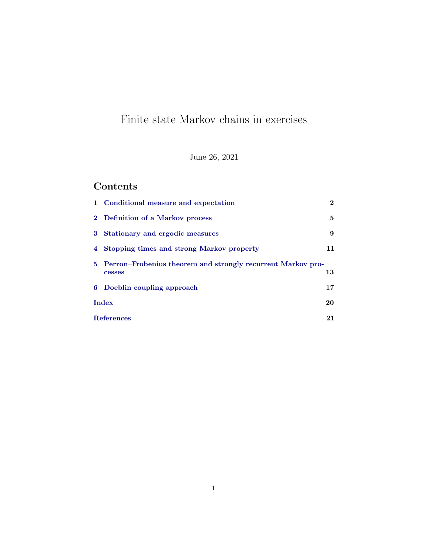# Finite state Markov chains in exercises

June 26, 2021

## Contents

|                   | 1 Conditional measure and expectation                                   | $\mathbf{2}$ |
|-------------------|-------------------------------------------------------------------------|--------------|
|                   | 2 Definition of a Markov process                                        | 5            |
|                   | 3 Stationary and ergodic measures                                       | 9            |
|                   | 4 Stopping times and strong Markov property                             | 11           |
|                   | 5 Perron–Frobenius theorem and strongly recurrent Markov pro-<br>cesses | 13           |
|                   | 6 Doeblin coupling approach                                             | 17           |
|                   | <b>Index</b>                                                            |              |
| <b>References</b> |                                                                         | 21           |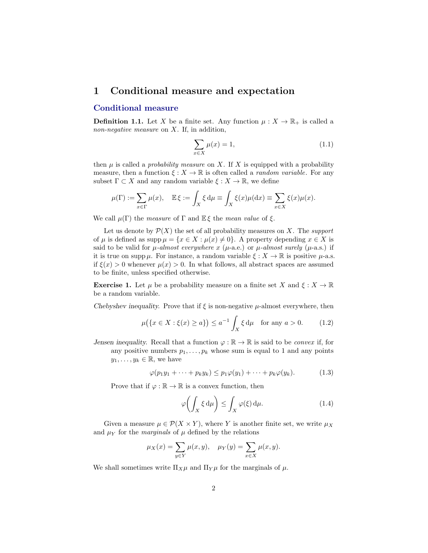## <span id="page-1-1"></span><span id="page-1-0"></span>1 Conditional measure and expectation

#### Conditional measure

**Definition 1.1.** Let X be a finite set. Any function  $\mu : X \to \mathbb{R}_+$  is called a non-negative measure on  $X$ . If, in addition,

$$
\sum_{x \in X} \mu(x) = 1,\tag{1.1}
$$

then  $\mu$  is called a *probability measure* on X. If X is equipped with a probability measure, then a function  $\xi: X \to \mathbb{R}$  is often called a *random variable*. For any subset  $\Gamma \subset X$  and any random variable  $\xi : X \to \mathbb{R}$ , we define

$$
\mu(\Gamma) := \sum_{x \in \Gamma} \mu(x), \quad \mathbb{E}\,\xi := \int_X \xi \,d\mu \equiv \int_X \xi(x)\mu(dx) \equiv \sum_{x \in X} \xi(x)\mu(x).
$$

We call  $\mu(\Gamma)$  the measure of  $\Gamma$  and  $\mathbb{E}\xi$  the mean value of  $\xi$ .

Let us denote by  $\mathcal{P}(X)$  the set of all probability measures on X. The support of  $\mu$  is defined as supp  $\mu = \{x \in X : \mu(x) \neq 0\}$ . A property depending  $x \in X$  is said to be valid for  $\mu$ -almost everywhere x ( $\mu$ -a.e.) or  $\mu$ -almost surely ( $\mu$ -a.s.) if it is true on supp  $\mu$ . For instance, a random variable  $\xi : X \to \mathbb{R}$  is positive  $\mu$ -a.s. if  $\xi(x) > 0$  whenever  $\mu(x) > 0$ . In what follows, all abstract spaces are assumed to be finite, unless specified otherwise.

**Exercise 1.** Let  $\mu$  be a probability measure on a finite set X and  $\xi : X \to \mathbb{R}$ be a random variable.

Chebyshev inequality. Prove that if  $\xi$  is non-negative  $\mu$ -almost everywhere, then

$$
\mu\big(\{x \in X : \xi(x) \ge a\}\big) \le a^{-1} \int_X \xi \, \mathrm{d}\mu \quad \text{for any } a > 0. \tag{1.2}
$$

Jensen inequality. Recall that a function  $\varphi : \mathbb{R} \to \mathbb{R}$  is said to be *convex* if, for any positive numbers  $p_1, \ldots, p_k$  whose sum is equal to 1 and any points  $y_1, \ldots, y_k \in \mathbb{R}$ , we have

$$
\varphi(p_1y_1 + \dots + p_ky_k) \leq p_1\varphi(y_1) + \dots + p_k\varphi(y_k). \tag{1.3}
$$

Prove that if  $\varphi : \mathbb{R} \to \mathbb{R}$  is a convex function, then

$$
\varphi\bigg(\int_X \xi \,d\mu\bigg) \le \int_X \varphi(\xi) \,d\mu. \tag{1.4}
$$

Given a measure  $\mu \in \mathcal{P}(X \times Y)$ , where Y is another finite set, we write  $\mu_X$ and  $\mu_Y$  for the *marginals* of  $\mu$  defined by the relations

$$
\mu_X(x) = \sum_{y \in Y} \mu(x, y), \quad \mu_Y(y) = \sum_{x \in X} \mu(x, y).
$$

We shall sometimes write  $\Pi_X\mu$  and  $\Pi_Y\mu$  for the marginals of  $\mu$ .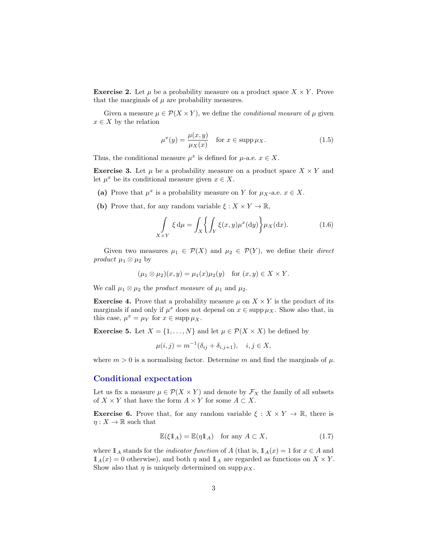<span id="page-2-1"></span>**Exercise 2.** Let  $\mu$  be a probability measure on a product space  $X \times Y$ . Prove that the marginals of  $\mu$  are probability measures.

Given a measure  $\mu \in \mathcal{P}(X \times Y)$ , we define the *conditional measure* of  $\mu$  given  $x \in X$  by the relation

$$
\mu^x(y) = \frac{\mu(x, y)}{\mu_X(x)} \quad \text{for } x \in \text{supp}\,\mu_X. \tag{1.5}
$$

Thus, the conditional measure  $\mu^x$  is defined for  $\mu$ -a.e.  $x \in X$ .

**Exercise 3.** Let  $\mu$  be a probability measure on a product space  $X \times Y$  and let  $\mu^x$  be its conditional measure given  $x \in X$ .

- (a) Prove that  $\mu^x$  is a probability measure on Y for  $\mu_X$ -a.e.  $x \in X$ .
- (b) Prove that, for any random variable  $\xi: X \times Y \to \mathbb{R}$ ,

$$
\int_{X \times Y} \xi \, d\mu = \int_X \left\{ \int_Y \xi(x, y) \mu^x(dy) \right\} \mu_X(dx). \tag{1.6}
$$

Given two measures  $\mu_1 \in \mathcal{P}(X)$  and  $\mu_2 \in \mathcal{P}(Y)$ , we define their *direct* product  $\mu_1 \otimes \mu_2$  by

$$
(\mu_1 \otimes \mu_2)(x, y) = \mu_1(x)\mu_2(y) \quad \text{for } (x, y) \in X \times Y.
$$

We call  $\mu_1 \otimes \mu_2$  the *product measure* of  $\mu_1$  and  $\mu_2$ .

**Exercise 4.** Prove that a probability measure  $\mu$  on  $X \times Y$  is the product of its marginals if and only if  $\mu^x$  does not depend on  $x \in \text{supp }\mu_X$ . Show also that, in this case,  $\mu^x = \mu_Y$  for  $x \in \text{supp }\mu_X$ .

**Exercise 5.** Let  $X = \{1, ..., N\}$  and let  $\mu \in \mathcal{P}(X \times X)$  be defined by

$$
\mu(i, j) = m^{-1}(\delta_{ij} + \delta_{i, j+1}), \quad i, j \in X,
$$

where  $m > 0$  is a normalising factor. Determine m and find the marginals of  $\mu$ .

#### Conditional expectation

Let us fix a measure  $\mu \in \mathcal{P}(X \times Y)$  and denote by  $\mathcal{F}_X$  the family of all subsets of  $X \times Y$  that have the form  $A \times Y$  for some  $A \subset X$ .

<span id="page-2-0"></span>**Exercise 6.** Prove that, for any random variable  $\xi : X \times Y \to \mathbb{R}$ , there is  $\eta: X \to \mathbb{R}$  such that

$$
\mathbb{E}(\xi \mathbb{1}_A) = \mathbb{E}(\eta \mathbb{1}_A) \quad \text{for any } A \subset X,
$$
 (1.7)

where  $1_A$  stands for the *indicator function* of A (that is,  $1_A(x) = 1$  for  $x \in A$  and  $\mathbb{1}_A(x) = 0$  otherwise), and both  $\eta$  and  $\mathbb{1}_A$  are regarded as functions on  $X \times Y$ . Show also that  $\eta$  is uniquely determined on supp  $\mu_X$ .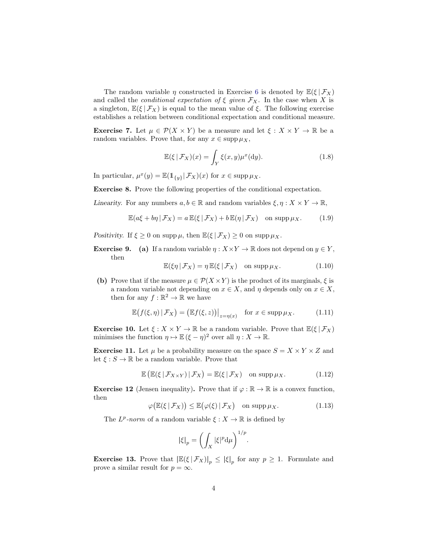<span id="page-3-0"></span>The random variable  $\eta$  constructed in Exercise [6](#page-2-0) is denoted by  $\mathbb{E}(\xi | \mathcal{F}_X)$ and called the *conditional expectation of*  $\xi$  *given*  $\mathcal{F}_X$ . In the case when X is a singleton,  $\mathbb{E}(\xi | \mathcal{F}_X)$  is equal to the mean value of  $\xi$ . The following exercise establishes a relation between conditional expectation and conditional measure.

**Exercise 7.** Let  $\mu \in \mathcal{P}(X \times Y)$  be a measure and let  $\xi : X \times Y \to \mathbb{R}$  be a random variables. Prove that, for any  $x \in \text{supp} \mu_X$ ,

$$
\mathbb{E}(\xi \,|\, \mathcal{F}_X)(x) = \int_Y \xi(x, y) \mu^x(\mathrm{d}y). \tag{1.8}
$$

In particular,  $\mu^x(y) = \mathbb{E}(\mathbb{1}_{\{y\}}|\mathcal{F}_X)(x)$  for  $x \in \mathrm{supp} \,\mu_X$ .

Exercise 8. Prove the following properties of the conditional expectation.

Linearity. For any numbers  $a, b \in \mathbb{R}$  and random variables  $\xi, \eta : X \times Y \to \mathbb{R}$ ,

$$
\mathbb{E}(a\xi + b\eta \,|\, \mathcal{F}_X) = a \,\mathbb{E}(\xi \,|\, \mathcal{F}_X) + b \,\mathbb{E}(\eta \,|\, \mathcal{F}_X) \quad \text{on } \operatorname{supp} \mu_X. \tag{1.9}
$$

Positivity. If  $\xi \geq 0$  on supp  $\mu$ , then  $\mathbb{E}(\xi | \mathcal{F}_X) \geq 0$  on supp  $\mu_X$ .

**Exercise 9.** (a) If a random variable  $\eta: X \times Y \to \mathbb{R}$  does not depend on  $y \in Y$ , then

$$
\mathbb{E}(\xi \eta \,|\, \mathcal{F}_X) = \eta \,\mathbb{E}(\xi \,|\, \mathcal{F}_X) \quad \text{on } \operatorname{supp} \mu_X. \tag{1.10}
$$

(b) Prove that if the measure  $\mu \in \mathcal{P}(X \times Y)$  is the product of its marginals,  $\xi$  is a random variable not depending on  $x \in X$ , and  $\eta$  depends only on  $x \in X$ , then for any  $f : \mathbb{R}^2 \to \mathbb{R}$  we have

$$
\mathbb{E}\big(f(\xi,\eta)\,|\,\mathcal{F}_X\big) = \big(\mathbb{E}f(\xi,z)\big)\big|_{z=\eta(x)} \quad \text{for } x \in \text{supp}\,\mu_X. \tag{1.11}
$$

**Exercise 10.** Let  $\xi : X \times Y \to \mathbb{R}$  be a random variable. Prove that  $\mathbb{E}(\xi | \mathcal{F}_X)$ minimises the function  $\eta \mapsto \mathbb{E} (\xi - \eta)^2$  over all  $\eta : X \to \mathbb{R}$ .

**Exercise 11.** Let  $\mu$  be a probability measure on the space  $S = X \times Y \times Z$  and let  $\xi : S \to \mathbb{R}$  be a random variable. Prove that

$$
\mathbb{E}\left(\mathbb{E}(\xi \,|\, \mathcal{F}_{X \times Y}) \,|\, \mathcal{F}_X\right) = \mathbb{E}(\xi \,|\, \mathcal{F}_X) \quad \text{on } \operatorname{supp} \mu_X. \tag{1.12}
$$

**Exercise 12** (Jensen inequality). Prove that if  $\varphi : \mathbb{R} \to \mathbb{R}$  is a convex function, then

$$
\varphi\big(\mathbb{E}(\xi \,|\, \mathcal{F}_X)\big) \le \mathbb{E}\big(\varphi(\xi) \,|\, \mathcal{F}_X\big) \quad \text{on } \operatorname{supp} \mu_X. \tag{1.13}
$$

.

The  $L^p$ -norm of a random variable  $\xi: X \to \mathbb{R}$  is defined by

$$
|\xi|_p = \left(\int_X |\xi|^p \mathrm{d}\mu\right)^{1/p}
$$

**Exercise 13.** Prove that  $\left| \mathbb{E}(\xi | \mathcal{F}_X) \right|_p \leq |\xi|_p$  for any  $p \geq 1$ . Formulate and prove a similar result for  $p = \infty$ .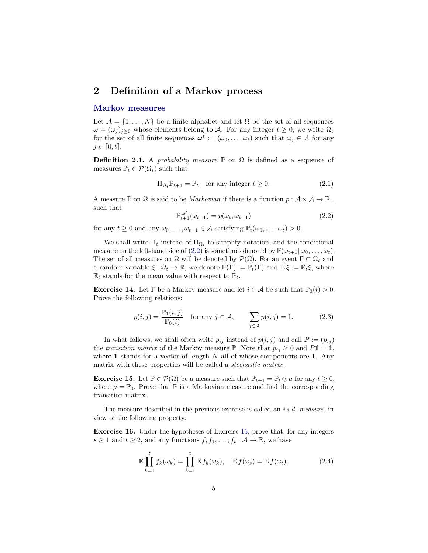### <span id="page-4-3"></span><span id="page-4-0"></span>2 Definition of a Markov process

#### Markov measures

Let  $\mathcal{A} = \{1, \ldots, N\}$  be a finite alphabet and let  $\Omega$  be the set of all sequences  $\omega = (\omega_j)_{j\geq 0}$  whose elements belong to A. For any integer  $t \geq 0$ , we write  $\Omega_t$ for the set of all finite sequences  $\boldsymbol{\omega}^t := (\omega_0, \dots, \omega_t)$  such that  $\omega_j \in \mathcal{A}$  for any  $j \in [0, t].$ 

**Definition 2.1.** A probability measure  $\mathbb{P}$  on  $\Omega$  is defined as a sequence of measures  $\mathbb{P}_t \in \mathcal{P}(\Omega_t)$  such that

$$
\Pi_{\Omega_t} \mathbb{P}_{t+1} = \mathbb{P}_t \quad \text{for any integer } t \ge 0. \tag{2.1}
$$

A measure P on  $\Omega$  is said to be *Markovian* if there is a function  $p : \mathcal{A} \times \mathcal{A} \to \mathbb{R}_+$ such that

<span id="page-4-1"></span>
$$
\mathbb{P}_{t+1}^{\omega^t}(\omega_{t+1}) = p(\omega_t, \omega_{t+1}) \tag{2.2}
$$

for any  $t \geq 0$  and any  $\omega_0, \ldots, \omega_{t+1} \in \mathcal{A}$  satisfying  $\mathbb{P}_t(\omega_0, \ldots, \omega_t) > 0$ .

We shall write  $\Pi_t$  instead of  $\Pi_{\Omega_t}$  to simplify notation, and the conditional measure on the left-hand side of [\(2.2\)](#page-4-1) is sometimes denoted by  $\mathbb{P}(\omega_{t+1} | \omega_0, \ldots, \omega_t)$ . The set of all measures on  $\Omega$  will be denoted by  $\mathcal{P}(\Omega)$ . For an event  $\Gamma \subset \Omega_t$  and a random variable  $\xi : \Omega_t \to \mathbb{R}$ , we denote  $\mathbb{P}(\Gamma) := \mathbb{P}_t(\Gamma)$  and  $\mathbb{E} \xi := \mathbb{E}_t \xi$ , where  $\mathbb{E}_t$  stands for the mean value with respect to  $\mathbb{P}_t$ .

**Exercise 14.** Let P be a Markov measure and let  $i \in \mathcal{A}$  be such that  $\mathbb{P}_0(i) > 0$ . Prove the following relations:

$$
p(i,j) = \frac{\mathbb{P}_1(i,j)}{\mathbb{P}_0(i)} \quad \text{for any } j \in \mathcal{A}, \qquad \sum_{j \in \mathcal{A}} p(i,j) = 1. \tag{2.3}
$$

In what follows, we shall often write  $p_{ij}$  instead of  $p(i, j)$  and call  $P := (p_{ij})$ the transition matrix of the Markov measure  $\mathbb{P}$ . Note that  $p_{ij} \geq 0$  and  $P1 = 1$ , where  $1$  stands for a vector of length  $N$  all of whose components are 1. Any matrix with these properties will be called a *stochastic matrix*.

<span id="page-4-2"></span>**Exercise 15.** Let  $\mathbb{P} \in \mathcal{P}(\Omega)$  be a measure such that  $\mathbb{P}_{t+1} = \mathbb{P}_t \otimes \mu$  for any  $t \geq 0$ , where  $\mu = \mathbb{P}_0$ . Prove that  $\mathbb P$  is a Markovian measure and find the corresponding transition matrix.

The measure described in the previous exercise is called an *i.i.d.* measure, in view of the following property.

Exercise 16. Under the hypotheses of Exercise [15,](#page-4-2) prove that, for any integers  $s \geq 1$  and  $t \geq 2$ , and any functions  $f, f_1, \ldots, f_t : A \to \mathbb{R}$ , we have

$$
\mathbb{E}\prod_{k=1}^{t}f_k(\omega_k) = \prod_{k=1}^{t}\mathbb{E} f_k(\omega_k), \quad \mathbb{E} f(\omega_s) = \mathbb{E} f(\omega_t).
$$
 (2.4)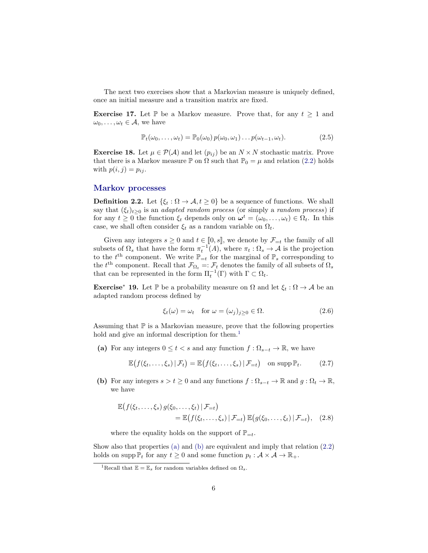<span id="page-5-6"></span>The next two exercises show that a Markovian measure is uniquely defined, once an initial measure and a transition matrix are fixed.

**Exercise 17.** Let  $\mathbb{P}$  be a Markov measure. Prove that, for any  $t \geq 1$  and  $\omega_0, \ldots, \omega_t \in \mathcal{A}$ , we have

<span id="page-5-5"></span>
$$
\mathbb{P}_t(\omega_0,\ldots,\omega_t) = \mathbb{P}_0(\omega_0) \, p(\omega_0,\omega_1) \ldots p(\omega_{t-1},\omega_t). \tag{2.5}
$$

**Exercise 18.** Let  $\mu \in \mathcal{P}(\mathcal{A})$  and let  $(p_{ij})$  be an  $N \times N$  stochastic matrix. Prove that there is a Markov measure P on  $\Omega$  such that  $P_0 = \mu$  and relation [\(2.2\)](#page-4-1) holds with  $p(i, j) = p_{ij}$ .

#### Markov processes

**Definition 2.2.** Let  $\{\xi_t : \Omega \to \mathcal{A}, t \geq 0\}$  be a sequence of functions. We shall say that  $(\xi_t)_{t\geq 0}$  is an *adapted random process* (or simply a *random process*) if for any  $t \geq 0$  the function  $\xi_t$  depends only on  $\boldsymbol{\omega}^t = (\omega_0, \dots, \omega_t) \in \Omega_t$ . In this case, we shall often consider  $\xi_t$  as a random variable on  $\Omega_t$ .

Given any integers  $s \geq 0$  and  $t \in [0, s]$ , we denote by  $\mathcal{F}_{=t}$  the family of all subsets of  $\Omega_s$  that have the form  $\pi_t^{-1}(A)$ , where  $\pi_t : \Omega_s \to A$  is the projection to the  $t<sup>th</sup>$  component. We write  $\mathbb{P}_{=t}$  for the marginal of  $\mathbb{P}_s$  corresponding to the  $t^{\text{th}}$  component. Recall that  $\mathcal{F}_{\Omega_t} =: \mathcal{F}_t$  denotes the family of all subsets of  $\Omega_s$ that can be represented in the form  $\Pi_t^{-1}(\Gamma)$  with  $\Gamma \subset \Omega_t$ .

<span id="page-5-4"></span>**Exercise<sup>∗</sup> 19.** Let  $\mathbb{P}$  be a probability measure on  $\Omega$  and let  $\xi_t : \Omega \to \mathcal{A}$  be an adapted random process defined by

<span id="page-5-3"></span>
$$
\xi_t(\omega) = \omega_t \quad \text{for } \omega = (\omega_j)_{j \ge 0} \in \Omega.
$$
 (2.6)

Assuming that  $\mathbb P$  is a Markovian measure, prove that the following properties hold and give an informal description for them.<sup>[1](#page-5-0)</sup>

<span id="page-5-1"></span>(a) For any integers  $0 \leq t < s$  and any function  $f : \Omega_{s-t} \to \mathbb{R}$ , we have

$$
\mathbb{E}\big(f(\xi_t,\ldots,\xi_s)\,|\,\mathcal{F}_t\big)=\mathbb{E}\big(f(\xi_t,\ldots,\xi_s)\,|\,\mathcal{F}_{=t}\big)\quad\text{on }\mathrm{supp}\,\mathbb{P}_t.\tag{2.7}
$$

<span id="page-5-2"></span>(b) For any integers  $s > t \geq 0$  and any functions  $f : \Omega_{s-t} \to \mathbb{R}$  and  $g : \Omega_t \to \mathbb{R}$ , we have

$$
\mathbb{E}\big(f(\xi_t,\ldots,\xi_s) g(\xi_0,\ldots,\xi_t) \,|\, \mathcal{F}_{=t}\big) \n= \mathbb{E}\big(f(\xi_t,\ldots,\xi_s) \,|\, \mathcal{F}_{=t}\big) \, \mathbb{E}\big(g(\xi_0,\ldots,\xi_t) \,|\, \mathcal{F}_{=t}\big), \quad (2.8)
$$

where the equality holds on the support of  $\mathbb{P}_{=t}$ .

Show also that properties [\(a\)](#page-5-1) and [\(b\)](#page-5-2) are equivalent and imply that relation [\(2.2\)](#page-4-1) holds on supp  $\mathbb{P}_t$  for any  $t \geq 0$  and some function  $p_t : \mathcal{A} \times \mathcal{A} \to \mathbb{R}_+$ .

<span id="page-5-0"></span><sup>&</sup>lt;sup>1</sup>Recall that  $\mathbb{E} = \mathbb{E}_s$  for random variables defined on  $\Omega_s$ .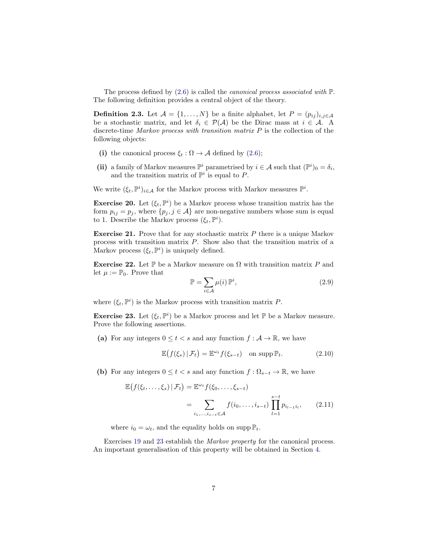<span id="page-6-3"></span>The process defined by  $(2.6)$  is called the *canonical process associated with*  $\mathbb{P}$ . The following definition provides a central object of the theory.

**Definition 2.3.** Let  $\mathcal{A} = \{1, ..., N\}$  be a finite alphabet, let  $P = (p_{ij})_{i,j \in \mathcal{A}}$ be a stochastic matrix, and let  $\delta_i \in \mathcal{P}(\mathcal{A})$  be the Dirac mass at  $i \in \mathcal{A}$ . A discrete-time *Markov process with transition matrix*  $P$  is the collection of the following objects:

- (i) the canonical process  $\xi_t : \Omega \to \mathcal{A}$  defined by [\(2.6\)](#page-5-3);
- (ii) a family of Markov measures  $\mathbb{P}^i$  parametrised by  $i \in \mathcal{A}$  such that  $(\mathbb{P}^i)_0 = \delta_i$ , and the transition matrix of  $\mathbb{P}^i$  is equal to P.

We write  $(\xi_t, \mathbb{P}^i)_{i \in \mathcal{A}}$  for the Markov process with Markov measures  $\mathbb{P}^i$ .

<span id="page-6-2"></span>**Exercise 20.** Let  $(\xi_t, \mathbb{P}^i)$  be a Markov process whose transition matrix has the form  $p_{ij} = p_j$ , where  $\{p_j, j \in \mathcal{A}\}\$ are non-negative numbers whose sum is equal to 1. Describe the Markov process  $(\xi_t, \mathbb{P}^i)$ .

Exercise 21. Prove that for any stochastic matrix P there is a unique Markov process with transition matrix P. Show also that the transition matrix of a Markov process  $(\xi_t, \mathbb{P}^i)$  is uniquely defined.

Exercise 22. Let P be a Markov measure on  $\Omega$  with transition matrix P and let  $\mu := \mathbb{P}_0$ . Prove that

<span id="page-6-1"></span>
$$
\mathbb{P} = \sum_{i \in \mathcal{A}} \mu(i) \, \mathbb{P}^i,\tag{2.9}
$$

where  $(\xi_t, \mathbb{P}^i)$  is the Markov process with transition matrix P.

<span id="page-6-0"></span>**Exercise 23.** Let  $(\xi_t, \mathbb{P}^i)$  be a Markov process and let  $\mathbb{P}$  be a Markov measure. Prove the following assertions.

(a) For any integers  $0 \le t < s$  and any function  $f : \mathcal{A} \to \mathbb{R}$ , we have

$$
\mathbb{E}\big(f(\xi_s) \,|\, \mathcal{F}_t\big) = \mathbb{E}^{\omega_t} f(\xi_{s-t}) \quad \text{on } \operatorname{supp} \mathbb{P}_t. \tag{2.10}
$$

(b) For any integers  $0 \leq t < s$  and any function  $f : \Omega_{s-t} \to \mathbb{R}$ , we have

$$
\mathbb{E}\big(f(\xi_t, \dots, \xi_s) \,|\, \mathcal{F}_t\big) = \mathbb{E}^{\omega_t} f(\xi_0, \dots, \xi_{s-t})
$$
\n
$$
= \sum_{i_1, \dots, i_{s-t} \in \mathcal{A}} f(i_0, \dots, i_{s-t}) \prod_{l=1}^{s-t} p_{i_{l-1}i_l}, \qquad (2.11)
$$

where  $i_0 = \omega_t$ , and the equality holds on supp  $\mathbb{P}_t$ .

Exercises [19](#page-5-4) and [23](#page-6-0) establish the Markov property for the canonical process. An important generalisation of this property will be obtained in Section [4.](#page-10-0)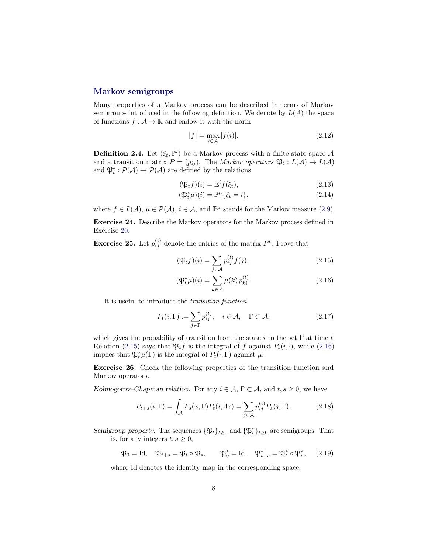#### <span id="page-7-3"></span>Markov semigroups

Many properties of a Markov process can be described in terms of Markov semigroups introduced in the following definition. We denote by  $L(\mathcal{A})$  the space of functions  $f : \mathcal{A} \to \mathbb{R}$  and endow it with the norm

<span id="page-7-2"></span>
$$
|f| = \max_{i \in \mathcal{A}} |f(i)|. \tag{2.12}
$$

**Definition 2.4.** Let  $(\xi_t, \mathbb{P}^i)$  be a Markov process with a finite state space A and a transition matrix  $P = (p_{ij})$ . The Markov operators  $\mathfrak{P}_t : L(\mathcal{A}) \to L(\mathcal{A})$ and  $\mathfrak{P}_t^* : \mathcal{P}(\mathcal{A}) \to \mathcal{P}(\mathcal{A})$  are defined by the relations

$$
(\mathfrak{P}_t f)(i) = \mathbb{E}^i f(\xi_t), \qquad (2.13)
$$

$$
(\mathfrak{P}_t^*\mu)(i) = \mathbb{P}^\mu\{\xi_t = i\},\tag{2.14}
$$

where  $f \in L(\mathcal{A}), \mu \in \mathcal{P}(\mathcal{A}), i \in \mathcal{A}$ , and  $\mathbb{P}^{\mu}$  stands for the Markov measure [\(2.9\)](#page-6-1).

Exercise 24. Describe the Markov operators for the Markov process defined in Exercise [20.](#page-6-2)

**Exercise 25.** Let  $p_{ij}^{(t)}$  denote the entries of the matrix  $P^t$ . Prove that

<span id="page-7-1"></span><span id="page-7-0"></span>
$$
(\mathfrak{P}_t f)(i) = \sum_{j \in \mathcal{A}} p_{ij}^{(t)} f(j), \qquad (2.15)
$$

$$
(\mathfrak{P}_t^*\mu)(i) = \sum_{k \in \mathcal{A}} \mu(k) \, p_{ki}^{(t)}.
$$
 (2.16)

It is useful to introduce the transition function

$$
P_t(i,\Gamma) := \sum_{j\in\Gamma} p_{ij}^{(t)}, \quad i \in \mathcal{A}, \quad \Gamma \subset \mathcal{A}, \tag{2.17}
$$

which gives the probability of transition from the state i to the set  $\Gamma$  at time t. Relation [\(2.15\)](#page-7-0) says that  $\mathfrak{P}_t f$  is the integral of f against  $P_t(i, \cdot)$ , while [\(2.16\)](#page-7-1) implies that  $\mathfrak{P}_t^*\mu(\Gamma)$  is the integral of  $P_t(\cdot,\Gamma)$  against  $\mu$ .

Exercise 26. Check the following properties of the transition function and Markov operators.

Kolmogorov–Chapman relation. For any  $i \in \mathcal{A}$ ,  $\Gamma \subset \mathcal{A}$ , and  $t, s \geq 0$ , we have

$$
P_{t+s}(i, \Gamma) = \int_{\mathcal{A}} P_s(x, \Gamma) P_t(i, dx) = \sum_{j \in \mathcal{A}} p_{ij}^{(t)} P_s(j, \Gamma). \tag{2.18}
$$

Semigroup property. The sequences  $\{\mathfrak{P}_t\}_{t\geq 0}$  and  $\{\mathfrak{P}_t^*\}_{t\geq 0}$  are semigroups. That is, for any integers  $t, s \geq 0$ ,

$$
\mathfrak{P}_0 = \text{Id}, \quad \mathfrak{P}_{t+s} = \mathfrak{P}_t \circ \mathfrak{P}_s, \qquad \mathfrak{P}_0^* = \text{Id}, \quad \mathfrak{P}_{t+s}^* = \mathfrak{P}_t^* \circ \mathfrak{P}_s^*, \qquad (2.19)
$$

where Id denotes the identity map in the corresponding space.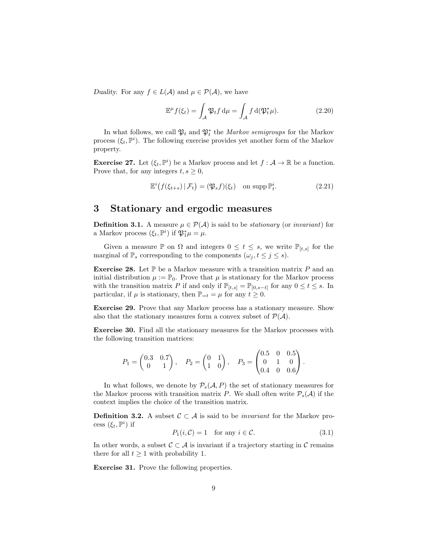<span id="page-8-2"></span>Duality. For any  $f \in L(\mathcal{A})$  and  $\mu \in \mathcal{P}(\mathcal{A})$ , we have

$$
\mathbb{E}^{\mu} f(\xi_t) = \int_{\mathcal{A}} \mathfrak{P}_t f \, \mathrm{d}\mu = \int_{\mathcal{A}} f \, \mathrm{d}(\mathfrak{P}_t^* \mu). \tag{2.20}
$$

In what follows, we call  $\mathfrak{P}_t$  and  $\mathfrak{P}_t^*$  the *Markov semigroups* for the Markov process  $(\xi_t, \mathbb{P}^i)$ . The following exercise provides yet another form of the Markov property.

**Exercise 27.** Let  $(\xi_t, \mathbb{P}^i)$  be a Markov process and let  $f : \mathcal{A} \to \mathbb{R}$  be a function. Prove that, for any integers  $t, s \geq 0$ ,

$$
\mathbb{E}^{i}(f(\xi_{t+s})|\mathcal{F}_{t}) = (\mathfrak{P}_{s}f)(\xi_{t}) \quad \text{on supp}\,\mathbb{P}_{t}^{i}.
$$
 (2.21)

#### <span id="page-8-0"></span>3 Stationary and ergodic measures

**Definition 3.1.** A measure  $\mu \in \mathcal{P}(\mathcal{A})$  is said to be *stationary* (or *invariant*) for a Markov process  $(\xi_t, \mathbb{P}^i)$  if  $\mathfrak{P}_1^*\mu = \mu$ .

Given a measure  $\mathbb P$  on  $\Omega$  and integers  $0 \leq t \leq s$ , we write  $\mathbb P_{[t,s]}$  for the marginal of  $\mathbb{P}_s$  corresponding to the components  $(\omega_j, t \leq j \leq s)$ .

**Exercise 28.** Let  $\mathbb{P}$  be a Markov measure with a transition matrix P and an initial distribution  $\mu := \mathbb{P}_0$ . Prove that  $\mu$  is stationary for the Markov process with the transition matrix P if and only if  $\mathbb{P}_{[t,s]} = \mathbb{P}_{[0,s-t]}$  for any  $0 \le t \le s$ . In particular, if  $\mu$  is stationary, then  $\mathbb{P}_{=t} = \mu$  for any  $t \geq 0$ .

Exercise 29. Prove that any Markov process has a stationary measure. Show also that the stationary measures form a convex subset of  $\mathcal{P}(\mathcal{A})$ .

<span id="page-8-1"></span>Exercise 30. Find all the stationary measures for the Markov processes with the following transition matrices:

$$
P_1 = \begin{pmatrix} 0.3 & 0.7 \\ 0 & 1 \end{pmatrix}, \quad P_2 = \begin{pmatrix} 0 & 1 \\ 1 & 0 \end{pmatrix}, \quad P_3 = \begin{pmatrix} 0.5 & 0 & 0.5 \\ 0 & 1 & 0 \\ 0.4 & 0 & 0.6 \end{pmatrix}.
$$

In what follows, we denote by  $P_s(\mathcal{A}, P)$  the set of stationary measures for the Markov process with transition matrix P. We shall often write  $P_s(\mathcal{A})$  if the context implies the choice of the transition matrix.

**Definition 3.2.** A subset  $\mathcal{C} \subset \mathcal{A}$  is said to be *invariant* for the Markov process  $(\xi_t, \mathbb{P}^i)$  if

$$
P_1(i, \mathcal{C}) = 1 \quad \text{for any } i \in \mathcal{C}.\tag{3.1}
$$

In other words, a subset  $\mathcal{C} \subset \mathcal{A}$  is invariant if a trajectory starting in  $\mathcal{C}$  remains there for all  $t \geq 1$  with probability 1.

Exercise 31. Prove the following properties.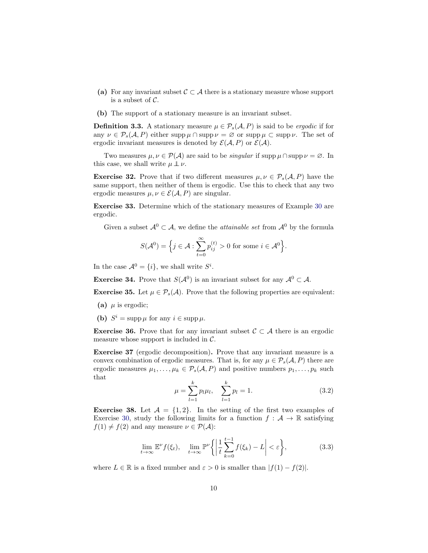- <span id="page-9-0"></span>(a) For any invariant subset  $C \subset A$  there is a stationary measure whose support is a subset of  $\mathcal{C}$ .
- (b) The support of a stationary measure is an invariant subset.

**Definition 3.3.** A stationary measure  $\mu \in \mathcal{P}_s(\mathcal{A}, P)$  is said to be ergodic if for any  $\nu \in \mathcal{P}_s(\mathcal{A}, P)$  either supp  $\mu \cap \mathrm{supp} \nu = \varnothing$  or supp  $\mu \subset \mathrm{supp} \nu$ . The set of ergodic invariant measures is denoted by  $\mathcal{E}(\mathcal{A}, P)$  or  $\mathcal{E}(\mathcal{A})$ .

Two measures  $\mu, \nu \in \mathcal{P}(\mathcal{A})$  are said to be *singular* if supp  $\mu \cap \text{supp }\nu = \emptyset$ . In this case, we shall write  $\mu \perp \!\!\! \perp \nu$ .

**Exercise 32.** Prove that if two different measures  $\mu, \nu \in \mathcal{P}_s(\mathcal{A}, P)$  have the same support, then neither of them is ergodic. Use this to check that any two ergodic measures  $\mu, \nu \in \mathcal{E}(\mathcal{A}, P)$  are singular.

Exercise 33. Determine which of the stationary measures of Example [30](#page-8-1) are ergodic.

Given a subset  $\mathcal{A}^0 \subset \mathcal{A}$ , we define the *attainable set* from  $\mathcal{A}^0$  by the formula

$$
S(\mathcal{A}^0) = \Big\{ j \in \mathcal{A} : \sum_{t=0}^{\infty} p_{ij}^{(t)} > 0 \text{ for some } i \in \mathcal{A}^0 \Big\}.
$$

In the case  $\mathcal{A}^0 = \{i\}$ , we shall write  $S^i$ .

**Exercise 34.** Prove that  $S(\mathcal{A}^0)$  is an invariant subset for any  $\mathcal{A}^0 \subset \mathcal{A}$ .

**Exercise 35.** Let  $\mu \in \mathcal{P}_s(\mathcal{A})$ . Prove that the following properties are equivalent:

- (a)  $\mu$  is ergodic;
- (b)  $S^i = \text{supp}\,\mu$  for any  $i \in \text{supp}\,\mu$ .

**Exercise 36.** Prove that for any invariant subset  $C \subset A$  there is an ergodic measure whose support is included in  $\mathcal{C}$ .

Exercise 37 (ergodic decomposition). Prove that any invariant measure is a convex combination of ergodic measures. That is, for any  $\mu \in \mathcal{P}_s(\mathcal{A}, P)$  there are ergodic measures  $\mu_1, \ldots, \mu_k \in \mathcal{P}_s(\mathcal{A}, P)$  and positive numbers  $p_1, \ldots, p_k$  such that

$$
\mu = \sum_{l=1}^{k} p_l \mu_l, \quad \sum_{l=1}^{k} p_l = 1. \tag{3.2}
$$

**Exercise 38.** Let  $\mathcal{A} = \{1, 2\}$ . In the setting of the first two examples of Exercise [30,](#page-8-1) study the following limits for a function  $f : \mathcal{A} \to \mathbb{R}$  satisfying  $f(1) \neq f(2)$  and any measure  $\nu \in \mathcal{P}(\mathcal{A})$ :

$$
\lim_{t \to \infty} \mathbb{E}^{\nu} f(\xi_t), \quad \lim_{t \to \infty} \mathbb{P}^{\nu} \left\{ \left| \frac{1}{t} \sum_{k=0}^{t-1} f(\xi_k) - L \right| < \varepsilon \right\},\tag{3.3}
$$

where  $L \in \mathbb{R}$  is a fixed number and  $\varepsilon > 0$  is smaller than  $|f(1) - f(2)|$ .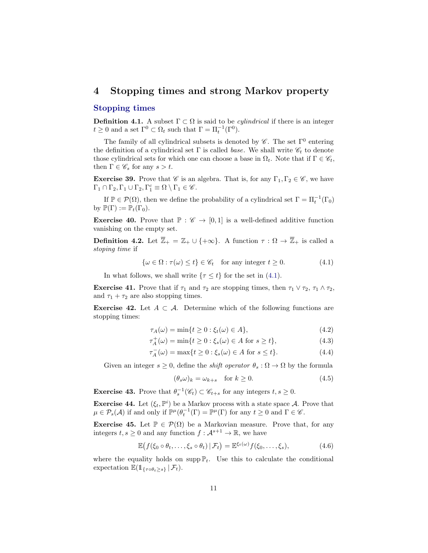#### <span id="page-10-3"></span><span id="page-10-0"></span>4 Stopping times and strong Markov property

#### Stopping times

**Definition 4.1.** A subset  $\Gamma \subset \Omega$  is said to be *cylindrical* if there is an integer  $t \geq 0$  and a set  $\Gamma^0 \subset \Omega_t$  such that  $\Gamma = \Pi_t^{-1}(\Gamma^0)$ .

The family of all cylindrical subsets is denoted by  $\mathscr{C}$ . The set  $\Gamma^0$  entering the definition of a cylindrical set  $\Gamma$  is called *base*. We shall write  $\mathscr{C}_t$  to denote those cylindrical sets for which one can choose a base in  $\Omega_t$ . Note that if  $\Gamma \in \mathscr{C}_t$ , then  $\Gamma \in \mathscr{C}_s$  for any  $s > t$ .

**Exercise 39.** Prove that  $\mathscr{C}$  is an algebra. That is, for any  $\Gamma_1, \Gamma_2 \in \mathscr{C}$ , we have  $\Gamma_1 \cap \Gamma_2, \Gamma_1 \cup \Gamma_2, \Gamma_1^c \equiv \Omega \setminus \Gamma_1 \in \mathscr{C}.$ 

If  $\mathbb{P} \in \mathcal{P}(\Omega)$ , then we define the probability of a cylindrical set  $\Gamma = \Pi_t^{-1}(\Gamma_0)$ by  $\mathbb{P}(\Gamma) := \mathbb{P}_t(\Gamma_0)$ .

**Exercise 40.** Prove that  $\mathbb{P}: \mathscr{C} \to [0,1]$  is a well-defined additive function vanishing on the empty set.

**Definition 4.2.** Let  $\overline{\mathbb{Z}}_+ = \mathbb{Z}_+ \cup \{+\infty\}$ . A function  $\tau : \Omega \to \overline{\mathbb{Z}}_+$  is called a stoping time if

<span id="page-10-1"></span>
$$
\{\omega \in \Omega : \tau(\omega) \le t\} \in \mathscr{C}_t \quad \text{for any integer } t \ge 0. \tag{4.1}
$$

In what follows, we shall write  $\{\tau \leq t\}$  for the set in [\(4.1\)](#page-10-1).

**Exercise 41.** Prove that if  $\tau_1$  and  $\tau_2$  are stopping times, then  $\tau_1 \vee \tau_2$ ,  $\tau_1 \wedge \tau_2$ , and  $\tau_1 + \tau_2$  are also stopping times.

Exercise 42. Let  $A \subset \mathcal{A}$ . Determine which of the following functions are stopping times:

$$
\tau_A(\omega) = \min\{t \ge 0 : \xi_t(\omega) \in A\},\tag{4.2}
$$

$$
\tau_A^+(\omega) = \min\{t \ge 0 : \xi_s(\omega) \in A \text{ for } s \ge t\},\tag{4.3}
$$

$$
\tau_A^-(\omega) = \max\{t \ge 0 : \xi_s(\omega) \in A \text{ for } s \le t\}.
$$
\n(4.4)

Given an integer  $s \geq 0$ , define the *shift operator*  $\theta_s : \Omega \to \Omega$  by the formula

<span id="page-10-2"></span>
$$
(\theta_s \omega)_k = \omega_{k+s} \quad \text{for } k \ge 0. \tag{4.5}
$$

**Exercise 43.** Prove that  $\theta_s^{-1}(\mathscr{C}_t) \subset \mathscr{C}_{t+s}$  for any integers  $t, s \geq 0$ .

**Exercise 44.** Let  $(\xi_t, \mathbb{P}^i)$  be a Markov process with a state space A. Prove that  $\mu \in \mathcal{P}_s(\mathcal{A})$  if and only if  $\mathbb{P}^{\mu}(\theta_t^{-1}(\Gamma) = \mathbb{P}^{\mu}(\Gamma)$  for any  $t \geq 0$  and  $\Gamma \in \mathscr{C}$ .

**Exercise 45.** Let  $\mathbb{P} \in \mathcal{P}(\Omega)$  be a Markovian measure. Prove that, for any integers  $t, s \geq 0$  and any function  $f: \mathcal{A}^{s+1} \to \mathbb{R}$ , we have

$$
\mathbb{E}\big(f(\xi_0\circ\theta_t,\ldots,\xi_s\circ\theta_t)\,|\,\mathcal{F}_t\big)=\mathbb{E}^{\xi_t(\omega)}f(\xi_0,\ldots,\xi_s),\tag{4.6}
$$

where the equality holds on supp  $\mathbb{P}_t$ . Use this to calculate the conditional expectation  $\mathbb{E}(\mathbb{1}_{\{\tau \circ \theta_t \geq s\}} | \mathcal{F}_t).$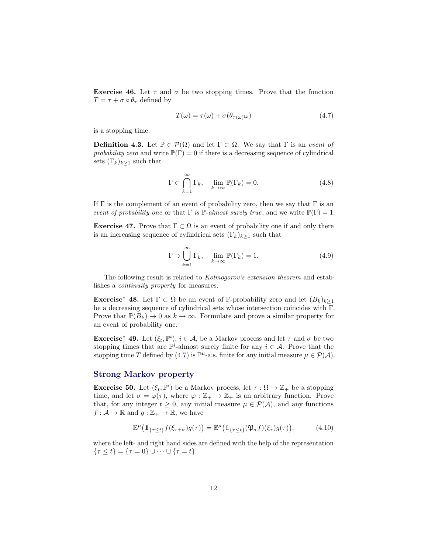<span id="page-11-2"></span>**Exercise 46.** Let  $\tau$  and  $\sigma$  be two stopping times. Prove that the function  $T = \tau + \sigma \circ \theta_{\tau}$  defined by

<span id="page-11-0"></span>
$$
T(\omega) = \tau(\omega) + \sigma(\theta_{\tau(\omega)}\omega)
$$
\n(4.7)

is a stopping time.

**Definition 4.3.** Let  $\mathbb{P} \in \mathcal{P}(\Omega)$  and let  $\Gamma \subset \Omega$ . We say that  $\Gamma$  is an event of probability zero and write  $\mathbb{P}(\Gamma) = 0$  if there is a decreasing sequence of cylindrical sets  $(\Gamma_k)_{k\geq 1}$  such that

$$
\Gamma \subset \bigcap_{k=1}^{\infty} \Gamma_k, \quad \lim_{k \to \infty} \mathbb{P}(\Gamma_k) = 0.
$$
 (4.8)

If  $\Gamma$  is the complement of an event of probability zero, then we say that  $\Gamma$  is an event of probability one or that  $\Gamma$  is  $\mathbb{P}\text{-almost surely true}$ , and we write  $\mathbb{P}(\Gamma) = 1$ .

Exercise 47. Prove that  $\Gamma \subset \Omega$  is an event of probability one if and only there is an increasing sequence of cylindrical sets  $(\Gamma_k)_{k\geq 1}$  such that

$$
\Gamma \supset \bigcup_{k=1}^{\infty} \Gamma_k, \quad \lim_{k \to \infty} \mathbb{P}(\Gamma_k) = 1. \tag{4.9}
$$

The following result is related to *Kolmogorov's extension theorem* and establishes a continuity property for measures.

**Exercise<sup>\*</sup> 48.** Let  $\Gamma \subset \Omega$  be an event of P-probability zero and let  $(B_k)_{k>1}$ be a decreasing sequence of cylindrical sets whose intersection coincides with Γ. Prove that  $\mathbb{P}(B_k) \to 0$  as  $k \to \infty$ . Formulate and prove a similar property for an event of probability one.

**Exercise<sup>\*</sup> 49.** Let  $(\xi_t, \mathbb{P}^i)$ ,  $i \in \mathcal{A}$ , be a Markov process and let  $\tau$  and  $\sigma$  be two stopping times that are  $\mathbb{P}^i$ -almost surely finite for any  $i \in \mathcal{A}$ . Prove that the stopping time T defined by [\(4.7\)](#page-11-0) is  $\mathbb{P}^{\mu}$ -a.s. finite for any initial measure  $\mu \in \mathcal{P}(\mathcal{A})$ .

#### Strong Markov property

**Exercise 50.** Let  $(\xi_t, \mathbb{P}^i)$  be a Markov process, let  $\tau : \Omega \to \overline{\mathbb{Z}}_+$  be a stopping time, and let  $\sigma = \varphi(\tau)$ , where  $\varphi : \mathbb{Z}_+ \to \mathbb{Z}_+$  is an arbitrary function. Prove that, for any integer  $t \geq 0$ , any initial measure  $\mu \in \mathcal{P}(\mathcal{A})$ , and any functions  $f: \mathcal{A} \to \mathbb{R}$  and  $g: \mathbb{Z}_+ \to \mathbb{R}$ , we have

<span id="page-11-1"></span>
$$
\mathbb{E}^{\mu}\big(\mathbb{1}_{\{\tau\leq t\}}f(\xi_{\tau+\sigma})g(\tau)\big)=\mathbb{E}^{\mu}\big(\mathbb{1}_{\{\tau\leq t\}}(\mathfrak{P}_{\sigma}f)(\xi_{\tau})g(\tau)\big),\tag{4.10}
$$

where the left- and right hand sides are defined with the help of the representation  $\{\tau \leq t\} = \{\tau = 0\} \cup \cdots \cup \{\tau = t\}.$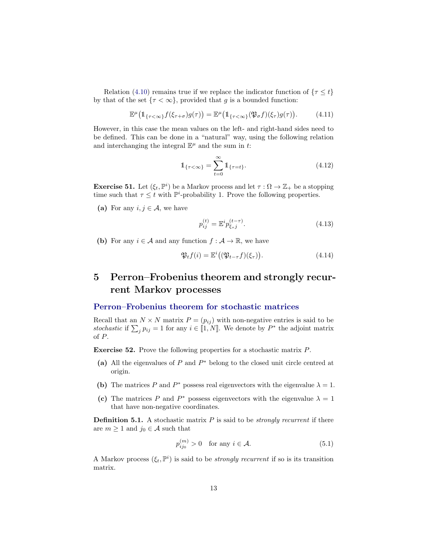<span id="page-12-3"></span>Relation [\(4.10\)](#page-11-1) remains true if we replace the indicator function of  $\{\tau \leq t\}$ by that of the set  $\{\tau < \infty\}$ , provided that g is a bounded function:

$$
\mathbb{E}^{\mu}\big(\mathbb{1}_{\{\tau<\infty\}}f(\xi_{\tau+\sigma})g(\tau)\big)=\mathbb{E}^{\mu}\big(\mathbb{1}_{\{\tau<\infty\}}(\mathfrak{P}_{\sigma}f)(\xi_{\tau})g(\tau)\big).
$$
 (4.11)

However, in this case the mean values on the left- and right-hand sides need to be defined. This can be done in a "natural" way, using the following relation and interchanging the integral  $\mathbb{E}^{\mu}$  and the sum in t:

$$
\mathbb{1}_{\{\tau < \infty\}} = \sum_{t=0}^{\infty} \mathbb{1}_{\{\tau = t\}}.\tag{4.12}
$$

**Exercise 51.** Let  $(\xi_t, \mathbb{P}^i)$  be a Markov process and let  $\tau : \Omega \to \mathbb{Z}_+$  be a stopping time such that  $\tau \leq t$  with  $\mathbb{P}^i$ -probability 1. Prove the following properties.

(a) For any  $i, j \in \mathcal{A}$ , we have

$$
p_{ij}^{(t)} = \mathbb{E}^i p_{\xi, j}^{(t-\tau)}.
$$
\n(4.13)

(b) For any  $i \in \mathcal{A}$  and any function  $f : \mathcal{A} \to \mathbb{R}$ , we have

$$
\mathfrak{P}_t f(i) = \mathbb{E}^i \big( (\mathfrak{P}_{t-\tau} f)(\xi_\tau) \big). \tag{4.14}
$$

## <span id="page-12-0"></span>5 Perron–Frobenius theorem and strongly recurrent Markov processes

#### Perron–Frobenius theorem for stochastic matrices

Recall that an  $N \times N$  matrix  $P = (p_{ij})$  with non-negative entries is said to be stochastic if  $\sum_j p_{ij} = 1$  for any  $i \in [1, N]$ . We denote by  $P^*$  the adjoint matrix of P.

Exercise 52. Prove the following properties for a stochastic matrix P.

- (a) All the eigenvalues of  $P$  and  $P^*$  belong to the closed unit circle centred at origin.
- (b) The matrices P and  $P^*$  possess real eigenvectors with the eigenvalue  $\lambda = 1$ .
- (c) The matrices P and P<sup>\*</sup> possess eigenvectors with the eigenvalue  $\lambda = 1$ that have non-negative coordinates.

<span id="page-12-1"></span>**Definition 5.1.** A stochastic matrix  $P$  is said to be *strongly recurrent* if there are  $m \geq 1$  and  $j_0 \in \mathcal{A}$  such that

<span id="page-12-2"></span>
$$
p_{ij_0}^{(m)} > 0 \quad \text{for any } i \in \mathcal{A}.\tag{5.1}
$$

A Markov process  $(\xi_t, \mathbb{P}^i)$  is said to be *strongly recurrent* if so is its transition matrix.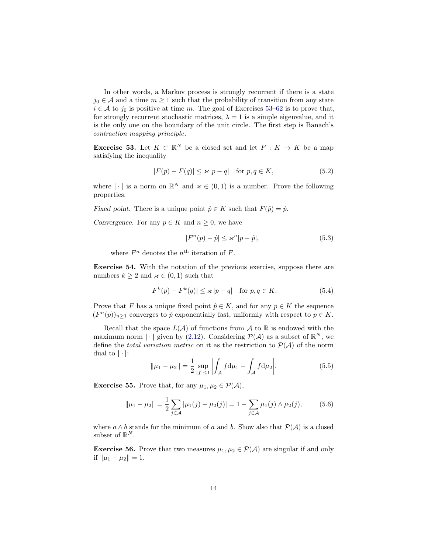<span id="page-13-1"></span>In other words, a Markov process is strongly recurrent if there is a state  $j_0 \in \mathcal{A}$  and a time  $m \geq 1$  such that the probability of transition from any state  $i \in A$  to  $j_0$  is positive at time m. The goal of Exercises [53–](#page-13-0)[62](#page-14-0) is to prove that, for strongly recurrent stochastic matrices,  $\lambda = 1$  is a simple eigenvalue, and it is the only one on the boundary of the unit circle. The first step is Banach's contraction mapping principle.

<span id="page-13-0"></span>**Exercise 53.** Let  $K \subset \mathbb{R}^N$  be a closed set and let  $F: K \to K$  be a map satisfying the inequality

$$
|F(p) - F(q)| \le \varkappa |p - q| \quad \text{for } p, q \in K,
$$
\n
$$
(5.2)
$$

where  $|\cdot|$  is a norm on  $\mathbb{R}^N$  and  $\varkappa \in (0,1)$  is a number. Prove the following properties.

Fixed point. There is a unique point  $\hat{p} \in K$  such that  $F(\hat{p}) = \hat{p}$ .

Convergence. For any  $p \in K$  and  $n \geq 0$ , we have

$$
|F^n(p) - \hat{p}| \le \varkappa^n |p - \hat{p}|,\tag{5.3}
$$

where  $F^n$  denotes the  $n^{\text{th}}$  iteration of F.

Exercise 54. With the notation of the previous exercise, suppose there are numbers  $k \geq 2$  and  $\varkappa \in (0,1)$  such that

$$
|F^k(p) - F^k(q)| \le \varkappa |p - q| \quad \text{for } p, q \in K. \tag{5.4}
$$

Prove that F has a unique fixed point  $\hat{p} \in K$ , and for any  $p \in K$  the sequence  $(F^{n}(p))_{n\geq 1}$  converges to  $\hat{p}$  exponentially fast, uniformly with respect to  $p \in K$ .

Recall that the space  $L(\mathcal{A})$  of functions from  $\mathcal{A}$  to  $\mathbb{R}$  is endowed with the maximum norm  $|\cdot|$  given by [\(2.12\)](#page-7-2). Considering  $\mathcal{P}(\mathcal{A})$  as a subset of  $\mathbb{R}^N$ , we define the total variation metric on it as the restriction to  $\mathcal{P}(\mathcal{A})$  of the norm dual to  $|\cdot|$ :

$$
\|\mu_1 - \mu_2\| = \frac{1}{2} \sup_{|f| \le 1} \left| \int_A f \, \mathrm{d}\mu_1 - \int_A f \, \mathrm{d}\mu_2 \right|.
$$
 (5.5)

**Exercise 55.** Prove that, for any  $\mu_1, \mu_2 \in \mathcal{P}(\mathcal{A}),$ 

$$
\|\mu_1 - \mu_2\| = \frac{1}{2} \sum_{j \in \mathcal{A}} |\mu_1(j) - \mu_2(j)| = 1 - \sum_{j \in \mathcal{A}} \mu_1(j) \wedge \mu_2(j), \tag{5.6}
$$

where  $a \wedge b$  stands for the minimum of a and b. Show also that  $\mathcal{P}(\mathcal{A})$  is a closed subset of  $\mathbb{R}^N$ .

**Exercise 56.** Prove that two measures  $\mu_1, \mu_2 \in \mathcal{P}(\mathcal{A})$  are singular if and only if  $\|\mu_1 - \mu_2\| = 1$ .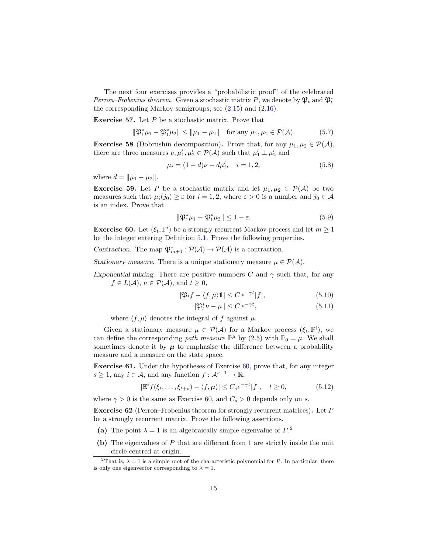<span id="page-14-4"></span>The next four exercises provides a "probabilistic proof" of the celebrated Perron–Frobenius theorem. Given a stochastic matrix P, we denote by  $\mathfrak{P}_t$  and  $\mathfrak{P}_t^*$ the corresponding Markov semigroups; see [\(2.15\)](#page-7-0) and [\(2.16\)](#page-7-1).

**Exercise 57.** Let  $P$  be a stochastic matrix. Prove that

$$
\|\mathfrak{P}_1^*\mu_1 - \mathfrak{P}_1^*\mu_2\| \le \|\mu_1 - \mu_2\| \quad \text{for any } \mu_1, \mu_2 \in \mathcal{P}(\mathcal{A}).\tag{5.7}
$$

**Exercise 58** (Dobrushin decomposition). Prove that, for any  $\mu_1, \mu_2 \in \mathcal{P}(\mathcal{A}),$ there are three measures  $\nu, \mu'_1, \mu'_2 \in \mathcal{P}(\mathcal{A})$  such that  $\mu'_1 \perp \!\!\! \perp \mu'_2$  and

$$
\mu_i = (1 - d)\nu + d\mu'_i, \quad i = 1, 2,
$$
\n(5.8)

where  $d = ||\mu_1 - \mu_2||$ .

**Exercise 59.** Let P be a stochastic matrix and let  $\mu_1, \mu_2 \in \mathcal{P}(\mathcal{A})$  be two measures such that  $\mu_i(j_0) \geq \varepsilon$  for  $i = 1, 2$ , where  $\varepsilon > 0$  is a number and  $j_0 \in \mathcal{A}$ is an index. Prove that

$$
\|\mathfrak{P}_1^*\mu_1 - \mathfrak{P}_1^*\mu_2\| \le 1 - \varepsilon. \tag{5.9}
$$

<span id="page-14-1"></span>**Exercise 60.** Let  $(\xi_t, \mathbb{P}^i)$  be a strongly recurrent Markov process and let  $m \geq 1$ be the integer entering Definition [5.1.](#page-12-1) Prove the following properties.

Contraction. The map  $\mathfrak{P}_{m+1}^* : \mathcal{P}(\mathcal{A}) \to \mathcal{P}(\mathcal{A})$  is a contraction.

Stationary measure. There is a unique stationary measure  $\mu \in \mathcal{P}(\mathcal{A})$ .

Exponential mixing. There are positive numbers C and  $\gamma$  such that, for any  $f \in L(\mathcal{A}), \nu \in \mathcal{P}(\mathcal{A}), \text{ and } t \geq 0,$ 

$$
|\mathfrak{P}_t f - \langle f, \mu \rangle \mathbb{1}| \le C e^{-\gamma t} |f|,\tag{5.10}
$$

$$
\|\mathfrak{P}_t^*\nu - \mu\| \le C e^{-\gamma t},\tag{5.11}
$$

where  $\langle f, \mu \rangle$  denotes the integral of f against  $\mu$ .

Given a stationary measure  $\mu \in \mathcal{P}(\mathcal{A})$  for a Markov process  $(\xi_t, \mathbb{P}^i)$ , we can define the corresponding path measure  $\mathbb{P}^{\mu}$  by [\(2.5\)](#page-5-5) with  $\mathbb{P}_{0} = \mu$ . We shall sometimes denote it by  $\mu$  to emphasise the difference between a probability measure and a measure on the state space.

Exercise 61. Under the hypotheses of Exercise [60,](#page-14-1) prove that, for any integer  $s \geq 1$ , any  $i \in \mathcal{A}$ , and any function  $f: \mathcal{A}^{s+1} \to \mathbb{R}$ ,

$$
|\mathbb{E}^{i} f(\xi_{t}, \dots, \xi_{t+s}) - \langle f, \mu \rangle| \leq C_{s} e^{-\gamma t} |f|, \quad t \geq 0,
$$
\n(5.12)

where  $\gamma > 0$  is the same as Exercise [60,](#page-14-1) and  $C_s > 0$  depends only on s.

<span id="page-14-0"></span>Exercise 62 (Perron–Frobenius theorem for strongly recurrent matrices). Let P be a strongly recurrent matrix. Prove the following assertions.

- <span id="page-14-3"></span>(a) The point  $\lambda = 1$  is an algebraically simple eigenvalue of  $P^2$  $P^2$ .
- (b) The eigenvalues of P that are different from 1 are strictly inside the unit circle centred at origin.

<span id="page-14-2"></span><sup>&</sup>lt;sup>2</sup>That is,  $\lambda = 1$  is a simple root of the characteristic polynomial for P. In particular, there is only one eigenvector corresponding to  $\lambda = 1$ .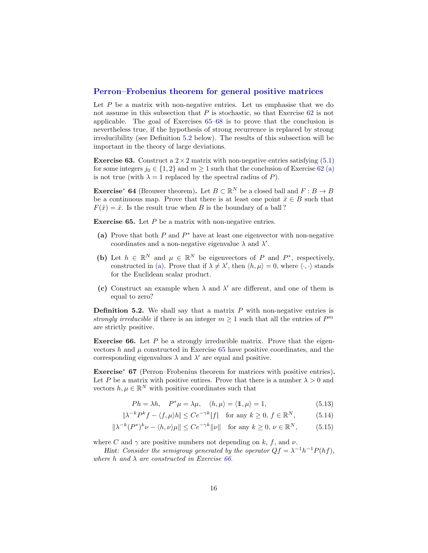#### <span id="page-15-5"></span>Perron–Frobenius theorem for general positive matrices

Let  $P$  be a matrix with non-negative entries. Let us emphasise that we do not assume in this subsection that  $P$  is stochastic, so that Exercise [62](#page-14-0) is not applicable. The goal of Exercises [65–](#page-15-0)[68](#page-16-1) is to prove that the conclusion is nevertheless true, if the hypothesis of strong recurrence is replaced by strong irreducibility (see Definition [5.2](#page-15-1) below). The results of this subsection will be important in the theory of large deviations.

**Exercise 63.** Construct a  $2 \times 2$  matrix with non-negative entries satisfying [\(5.1\)](#page-12-2) for some integers  $j_0 \in \{1,2\}$  and  $m \geq 1$  such that the conclusion of Exercise [62](#page-14-0) [\(a\)](#page-14-3) is not true (with  $\lambda = 1$  replaced by the spectral radius of P).

**Exercise<sup>\*</sup> 64** (Brouwer theorem). Let  $B \subset \mathbb{R}^N$  be a closed ball and  $F : B \to B$ be a continuous map. Prove that there is at least one point  $\hat{x} \in B$  such that  $F(\hat{x}) = \hat{x}$ . Is the result true when B is the boundary of a ball?

<span id="page-15-0"></span>**Exercise 65.** Let  $P$  be a matrix with non-negative entries.

- <span id="page-15-2"></span>(a) Prove that both  $P$  and  $P^*$  have at least one eigenvector with non-negative coordinates and a non-negative eigenvalue  $\lambda$  and  $\lambda'$ .
- (b) Let  $h \in \mathbb{R}^N$  and  $\mu \in \mathbb{R}^N$  be eigenvectors of P and  $P^*$ , respectively, constructed in [\(a\).](#page-15-2) Prove that if  $\lambda \neq \lambda'$ , then  $\langle h, \mu \rangle = 0$ , where  $\langle \cdot, \cdot \rangle$  stands for the Euclidean scalar product.
- (c) Construct an example when  $\lambda$  and  $\lambda'$  are different, and one of them is equal to zero?

<span id="page-15-1"></span>**Definition 5.2.** We shall say that a matrix  $P$  with non-negative entries is strongly irreducible if there is an integer  $m \geq 1$  such that all the entries of  $P^m$ are strictly positive.

<span id="page-15-3"></span>**Exercise 66.** Let  $P$  be a strongly irreducible matrix. Prove that the eigenvectors  $h$  and  $\mu$  constructed in Exercise [65](#page-15-0) have positive coordinates, and the corresponding eigenvalues  $\lambda$  and  $\lambda'$  are equal and positive.

<span id="page-15-4"></span>Exercise<sup>∗</sup> 67 (Perron–Frobenius theorem for matrices with positive entries). Let P be a matrix with positive entires. Prove that there is a number  $\lambda > 0$  and vectors  $h, \mu \in \mathbb{R}^N$  with positive coordinates such that

$$
Ph = \lambda h, \quad P^*\mu = \lambda \mu, \quad \langle h, \mu \rangle = \langle \mathbb{1}, \mu \rangle = 1, \tag{5.13}
$$

$$
|\lambda^{-k}P^kf - \langle f, \mu \rangle h| \le Ce^{-\gamma k}|f| \quad \text{for any } k \ge 0, f \in \mathbb{R}^N,
$$
 (5.14)

$$
\|\lambda^{-k}(P^*)^k \nu - \langle h, \nu \rangle \mu\| \le C e^{-\gamma k} \|\nu\| \quad \text{for any } k \ge 0, \ \nu \in \mathbb{R}^N,\tag{5.15}
$$

where C and  $\gamma$  are positive numbers not depending on k, f, and v.

Hint: Consider the semigroup generated by the operator  $Qf = \lambda^{-1}h^{-1}P(hf)$ , where h and  $\lambda$  are constructed in Exercise [66](#page-15-3).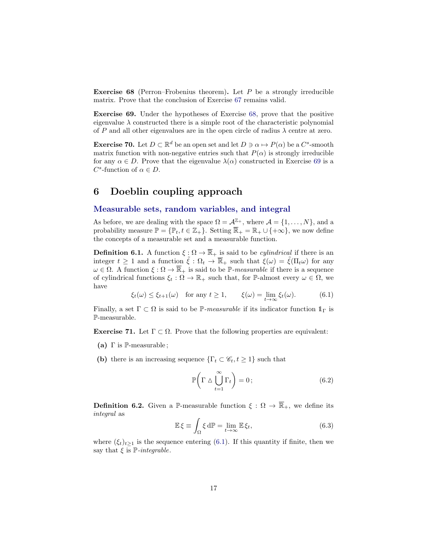<span id="page-16-5"></span><span id="page-16-1"></span>**Exercise 68** (Perron–Frobenius theorem). Let  $P$  be a strongly irreducible matrix. Prove that the conclusion of Exercise [67](#page-15-4) remains valid.

<span id="page-16-2"></span>Exercise 69. Under the hypotheses of Exercise [68,](#page-16-1) prove that the positive eigenvalue  $\lambda$  constructed there is a simple root of the characteristic polynomial of P and all other eigenvalues are in the open circle of radius  $\lambda$  centre at zero.

**Exercise 70.** Let  $D \subset \mathbb{R}^d$  be an open set and let  $D \ni \alpha \mapsto P(\alpha)$  be a  $C^s$ -smooth matrix function with non-negative entries such that  $P(\alpha)$  is strongly irreducible for any  $\alpha \in D$ . Prove that the eigenvalue  $\lambda(\alpha)$  constructed in Exercise [69](#page-16-2) is a  $C^s$ -function of  $\alpha \in D$ .

### <span id="page-16-0"></span>6 Doeblin coupling approach

#### Measurable sets, random variables, and integral

As before, we are dealing with the space  $\Omega = \mathcal{A}^{\mathbb{Z}_+}$ , where  $\mathcal{A} = \{1, \ldots, N\}$ , and a probability measure  $\mathbb{P} = {\mathbb{P}_t, t \in \mathbb{Z}_+}.$  Setting  $\overline{\mathbb{R}}_+ = \mathbb{R}_+ \cup {\mathbb{R}_+}$ , we now define the concepts of a measurable set and a measurable function.

**Definition 6.1.** A function  $\xi : \Omega \to \overline{\mathbb{R}}_+$  is said to be *cylindrical* if there is an integer  $t \geq 1$  and a function  $\tilde{\xi}: \Omega_t \to \overline{\mathbb{R}}_+$  such that  $\xi(\omega) = \tilde{\xi}(\Pi_t \omega)$  for any  $\omega \in \Omega$ . A function  $\xi : \Omega \to \overline{\mathbb{R}}_+$  is said to be P-measurable if there is a sequence of cylindrical functions  $\xi_t : \Omega \to \mathbb{R}_+$  such that, for P-almost every  $\omega \in \Omega$ , we have

<span id="page-16-3"></span> $\xi_t(\omega) \leq \xi_{t+1}(\omega)$  for any  $t \geq 1$ ,  $\xi(\omega) = \lim_{t \to \infty} \xi_t(\omega)$ . (6.1)

Finally, a set  $\Gamma \subset \Omega$  is said to be P-measurable if its indicator function  $1_{\Gamma}$  is P-measurable.

**Exercise 71.** Let  $\Gamma \subset \Omega$ . Prove that the following properties are equivalent:

- (a)  $\Gamma$  is  $\mathbb{P}\text{-measurable}$ ;
- (b) there is an increasing sequence  $\{\Gamma_t \subset \mathscr{C}_t, t \geq 1\}$  such that

$$
\mathbb{P}\left(\Gamma \wedge \bigcup_{t=1}^{\infty} \Gamma_t\right) = 0; \tag{6.2}
$$

**Definition 6.2.** Given a P-measurable function  $\xi : \Omega \to \overline{\mathbb{R}}_+$ , we define its integral as

<span id="page-16-4"></span>
$$
\mathbb{E}\,\xi \equiv \int_{\Omega} \xi \,\mathrm{d}\mathbb{P} = \lim_{t \to \infty} \mathbb{E}\,\xi_t,\tag{6.3}
$$

where  $(\xi_t)_{t\geq 1}$  is the sequence entering [\(6.1\)](#page-16-3). If this quantity if finite, then we say that  $\xi$  is  $\mathbb{P}-integrable$ .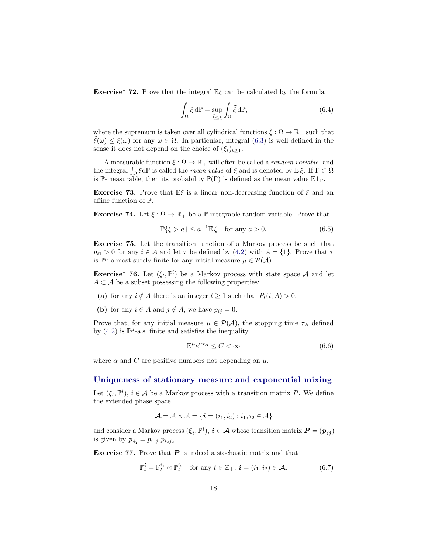<span id="page-17-1"></span>Exercise<sup>\*</sup> 72. Prove that the integral  $\mathbb{E}\xi$  can be calculated by the formula

$$
\int_{\Omega} \xi \, d\mathbb{P} = \sup_{\tilde{\xi} \le \xi} \int_{\Omega} \tilde{\xi} \, d\mathbb{P},\tag{6.4}
$$

where the supremum is taken over all cylindrical functions  $\tilde{\xi}: \Omega \to \mathbb{R}_+$  such that  $\hat{\xi}(\omega) \leq \xi(\omega)$  for any  $\omega \in \Omega$ . In particular, integral [\(6.3\)](#page-16-4) is well defined in the sense it does not depend on the choice of  $(\xi_t)_{t>1}$ .

A measurable function  $\xi : \Omega \to \overline{\mathbb{R}}_+$  will often be called a *random variable*, and the integral  $\int_{\Omega} \xi d\mathbb{P}$  is called the *mean value* of  $\xi$  and is denoted by  $\mathbb{E} \xi$ . If  $\Gamma \subset \Omega$ is P-measurable, then its probability  $\mathbb{P}(\Gamma)$  is defined as the mean value  $\mathbb{E}1_{\Gamma}$ .

**Exercise 73.** Prove that  $\mathbb{E}\xi$  is a linear non-decreasing function of  $\xi$  and an affine function of P.

**Exercise 74.** Let  $\xi : \Omega \to \overline{\mathbb{R}}_+$  be a P-integrable random variable. Prove that

$$
\mathbb{P}\{\xi > a\} \le a^{-1} \mathbb{E}\,\xi \quad \text{for any } a > 0. \tag{6.5}
$$

Exercise 75. Let the transition function of a Markov process be such that  $p_{i1} > 0$  for any  $i \in \mathcal{A}$  and let  $\tau$  be defined by  $(4.2)$  with  $A = \{1\}$ . Prove that  $\tau$ is  $\mathbb{P}^{\mu}$ -almost surely finite for any initial measure  $\mu \in \mathcal{P}(\mathcal{A})$ .

**Exercise<sup>\*</sup> 76.** Let  $(\xi_t, \mathbb{P}^i)$  be a Markov process with state space A and let  $A \subset \mathcal{A}$  be a subset possessing the following properties:

- (a) for any  $i \notin A$  there is an integer  $t \geq 1$  such that  $P_t(i, A) > 0$ .
- (b) for any  $i \in A$  and  $j \notin A$ , we have  $p_{ij} = 0$ .

Prove that, for any initial measure  $\mu \in \mathcal{P}(\mathcal{A})$ , the stopping time  $\tau_A$  defined by  $(4.2)$  is  $\mathbb{P}^{\mu}$ -a.s. finite and satisfies the inequality

$$
\mathbb{E}^{\mu} e^{\alpha \tau_A} \le C < \infty \tag{6.6}
$$

where  $\alpha$  and  $C$  are positive numbers not depending on  $\mu$ .

#### Uniqueness of stationary measure and exponential mixing

Let  $(\xi_t, \mathbb{P}^i)$ ,  $i \in \mathcal{A}$  be a Markov process with a transition matrix P. We define the extended phase space

$$
\mathcal{A} = \mathcal{A} \times \mathcal{A} = \{ \mathbf{i} = (i_1, i_2) : i_1, i_2 \in \mathcal{A} \}
$$

and consider a Markov process  $(\xi_t, \mathbb{P}^i)$ ,  $i \in \mathcal{A}$  whose transition matrix  $P = (p_{ij})$ is given by  $p_{ij} = p_{i_1 j_1} p_{i_2 j_2}$ .

**Exercise 77.** Prove that  $P$  is indeed a stochastic matrix and that

<span id="page-17-0"></span>
$$
\mathbb{P}_t^i = \mathbb{P}_t^{i_1} \otimes \mathbb{P}_t^{i_2} \quad \text{for any } t \in \mathbb{Z}_+, \ i = (i_1, i_2) \in \mathcal{A}.
$$
 (6.7)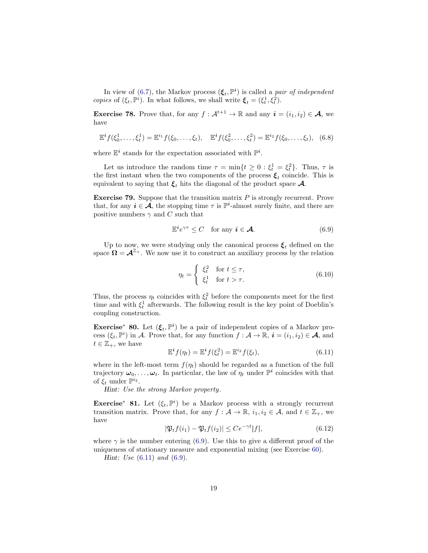<span id="page-18-3"></span>In view of [\(6.7\)](#page-17-0), the Markov process  $(\boldsymbol{\xi}_t, \mathbb{P}^i)$  is called a *pair of independent* copies of  $(\xi_t, \mathbb{P}^i)$ . In what follows, we shall write  $\xi_t = (\xi_t^1, \xi_t^2)$ .

**Exercise 78.** Prove that, for any  $f : \mathcal{A}^{t+1} \to \mathbb{R}$  and any  $i = (i_1, i_2) \in \mathcal{A}$ , we have

$$
\mathbb{E}^{i} f(\xi_0^1, \dots, \xi_t^1) = \mathbb{E}^{i_1} f(\xi_0, \dots, \xi_t), \quad \mathbb{E}^{i} f(\xi_0^2, \dots, \xi_t^2) = \mathbb{E}^{i_2} f(\xi_0, \dots, \xi_t), \quad (6.8)
$$

where  $\mathbb{E}^i$  stands for the expectation associated with  $\mathbb{P}^i$ .

Let us introduce the random time  $\tau = \min\{t \geq 0 : \xi_t^1 = \xi_t^2\}$ . Thus,  $\tau$  is the first instant when the two components of the process  $\xi_t$  coincide. This is equivalent to saying that  $\xi_t$  hits the diagonal of the product space  $\mathcal{A}$ .

**Exercise 79.** Suppose that the transition matrix  $P$  is strongly recurrent. Prove that, for any  $i \in \mathcal{A}$ , the stopping time  $\tau$  is  $\mathbb{P}^i$ -almost surely finite, and there are positive numbers  $\gamma$  and C such that

<span id="page-18-1"></span>
$$
\mathbb{E}^i e^{\gamma \tau} \le C \quad \text{for any } i \in \mathcal{A}.
$$
 (6.9)

Up to now, we were studying only the canonical process  $\xi_t$  defined on the space  $\Omega = \mathcal{A}^{\mathbb{Z}_+}$ . We now use it to construct an auxiliary process by the relation

$$
\eta_t = \begin{cases} \xi_t^2 & \text{for } t \le \tau, \\ \xi_t^1 & \text{for } t > \tau. \end{cases} \tag{6.10}
$$

Thus, the process  $\eta_t$  coincides with  $\xi_t^2$  before the components meet for the first time and with  $\xi_t^1$  afterwards. The following result is the key point of Doeblin's coupling construction.

**Exercise<sup>\*</sup> 80.** Let  $(\xi_t, \mathbb{P}^i)$  be a pair of independent copies of a Markov process  $(\xi_t, \mathbb{P}^i)$  in A. Prove that, for any function  $f : \mathcal{A} \to \mathbb{R}, i = (i_1, i_2) \in \mathcal{A}$ , and  $t \in \mathbb{Z}_+,$  we have

<span id="page-18-2"></span>
$$
\mathbb{E}^i f(\eta_t) = \mathbb{E}^i f(\xi_t^2) = \mathbb{E}^{i_2} f(\xi_t),\tag{6.11}
$$

where in the left-most term  $f(\eta_t)$  should be regarded as a function of the full trajectory  $\omega_0, \ldots, \omega_t$ . In particular, the law of  $\eta_t$  under  $\mathbb{P}^i$  coincides with that of  $\xi_t$  under  $\mathbb{P}^{i_2}$ .

Hint: Use the strong Markov property.

Exercise<sup>\*</sup> 81. Let  $(\xi_t, \mathbb{P}^i)$  be a Markov process with a strongly recurrent transition matrix. Prove that, for any  $f : \mathcal{A} \to \mathbb{R}$ ,  $i_1, i_2 \in \mathcal{A}$ , and  $t \in \mathbb{Z}_+$ , we have

<span id="page-18-0"></span>
$$
|\mathfrak{P}_t f(i_1) - \mathfrak{P}_t f(i_2)| \leq C e^{-\gamma t} |f|,\tag{6.12}
$$

where  $\gamma$  is the number entering [\(6.9\)](#page-18-1). Use this to give a different proof of the uniqueness of stationary measure and exponential mixing (see Exercise [60\)](#page-14-1).

Hint: Use  $(6.11)$  and  $(6.9)$ .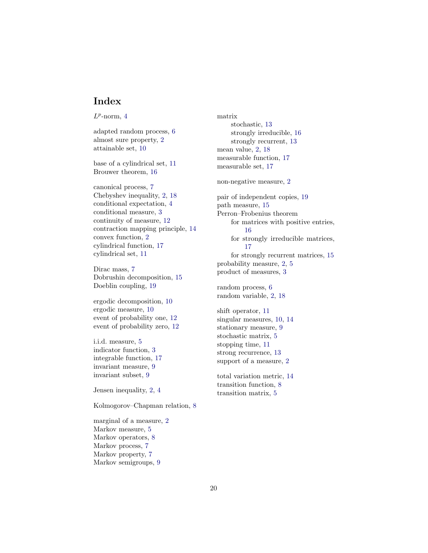## <span id="page-19-0"></span>Index

 $L^p$ -norm, [4](#page-3-0)

adapted random process, [6](#page-5-6) almost sure property, [2](#page-1-1) attainable set, [10](#page-9-0)

base of a cylindrical set, [11](#page-10-3) Brouwer theorem, [16](#page-15-5)

canonical process, [7](#page-6-3) Chebyshev inequality, [2,](#page-1-1) [18](#page-17-1) conditional expectation, [4](#page-3-0) conditional measure, [3](#page-2-1) continuity of measure, [12](#page-11-2) contraction mapping principle, [14](#page-13-1) convex function, [2](#page-1-1) cylindrical function, [17](#page-16-5) cylindrical set, [11](#page-10-3)

Dirac mass, [7](#page-6-3) Dobrushin decomposition, [15](#page-14-4) Doeblin coupling, [19](#page-18-3)

ergodic decomposition, [10](#page-9-0) ergodic measure, [10](#page-9-0) event of probability one, [12](#page-11-2) event of probability zero, [12](#page-11-2)

i.i.d. measure, [5](#page-4-3) indicator function, [3](#page-2-1) integrable function, [17](#page-16-5) invariant measure, [9](#page-8-2) invariant subset, [9](#page-8-2)

Jensen inequality, [2,](#page-1-1) [4](#page-3-0)

Kolmogorov–Chapman relation, [8](#page-7-3)

marginal of a measure, [2](#page-1-1) Markov measure, [5](#page-4-3) Markov operators, [8](#page-7-3) Markov process, [7](#page-6-3) Markov property, [7](#page-6-3) Markov semigroups, [9](#page-8-2)

matrix stochastic, [13](#page-12-3) strongly irreducible, [16](#page-15-5) strongly recurrent, [13](#page-12-3) mean value, [2,](#page-1-1) [18](#page-17-1) measurable function, [17](#page-16-5) measurable set, [17](#page-16-5) non-negative measure, [2](#page-1-1) pair of independent copies, [19](#page-18-3) path measure, [15](#page-14-4) Perron–Frobenius theorem for matrices with positive entries, [16](#page-15-5) for strongly irreducible matrices, [17](#page-16-5) for strongly recurrent matrices, [15](#page-14-4) probability measure, [2,](#page-1-1) [5](#page-4-3) product of measures, [3](#page-2-1) random process, [6](#page-5-6) random variable, [2,](#page-1-1) [18](#page-17-1) shift operator, [11](#page-10-3) singular measures, [10,](#page-9-0) [14](#page-13-1) stationary measure, [9](#page-8-2) stochastic matrix, [5](#page-4-3) stopping time, [11](#page-10-3) strong recurrence, [13](#page-12-3) support of a measure, [2](#page-1-1)

total variation metric, [14](#page-13-1) transition function, [8](#page-7-3) transition matrix, [5](#page-4-3)